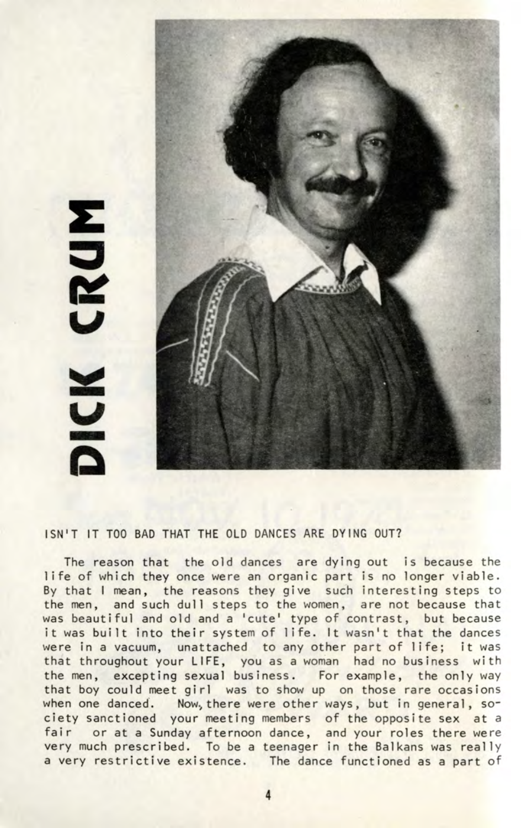## CRUM MOK

## ISN'T IT TOO BAD THAT THE OLD DANCES ARE DYING OUT?

The reason that the old dances are dying out is because the life of which they once were an organic part is no longer viable. By that I mean, the reasons they give such interesting steps to the men, and such dull steps to the women, are not because that was beautiful and old and a 'cute' type of contrast, but because it was built into their system of life. It wasn't that the dances were in a vacuum, unattached to any other part of life; it was that throughout your LIFE, you as a woman had no business with the men, excepting sexual business. For example, the only way that boy could meet girl was to show up on those rare occasions when one danced. Now, there were other ways, but in general, society sanctioned your meeting members of the opposite sex at a fair or at a Sunday afternoon dance, and your roles there were very much prescribed. To be a teenager in the Balkans was really a very restrictive existence. The dance functioned as a part of